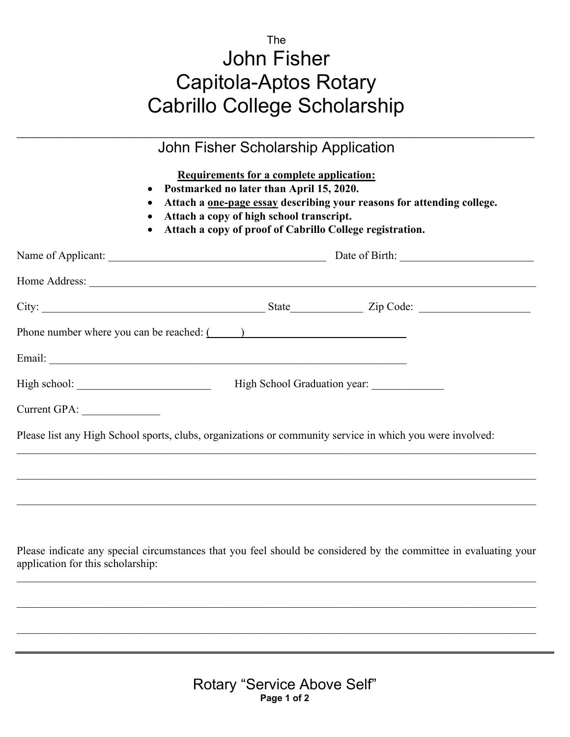## The John Fisher Capitola-Aptos Rotary Cabrillo College Scholarship

| $\bullet$                                      | Requirements for a complete application:<br>• Postmarked no later than April 15, 2020.<br>Attach a <u>one-page essay</u> describing your reasons for attending college.<br>Attach a copy of high school transcript.<br>Attach a copy of proof of Cabrillo College registration. |
|------------------------------------------------|---------------------------------------------------------------------------------------------------------------------------------------------------------------------------------------------------------------------------------------------------------------------------------|
|                                                |                                                                                                                                                                                                                                                                                 |
|                                                |                                                                                                                                                                                                                                                                                 |
|                                                |                                                                                                                                                                                                                                                                                 |
| Phone number where you can be reached: $($ $)$ |                                                                                                                                                                                                                                                                                 |
|                                                |                                                                                                                                                                                                                                                                                 |
|                                                | High School Graduation year: ______________                                                                                                                                                                                                                                     |
| Current GPA:                                   |                                                                                                                                                                                                                                                                                 |
|                                                | Please list any High School sports, clubs, organizations or community service in which you were involved:                                                                                                                                                                       |
|                                                |                                                                                                                                                                                                                                                                                 |
|                                                |                                                                                                                                                                                                                                                                                 |
| application for this scholarship:              | Please indicate any special circumstances that you feel should be considered by the committee in evaluating your                                                                                                                                                                |